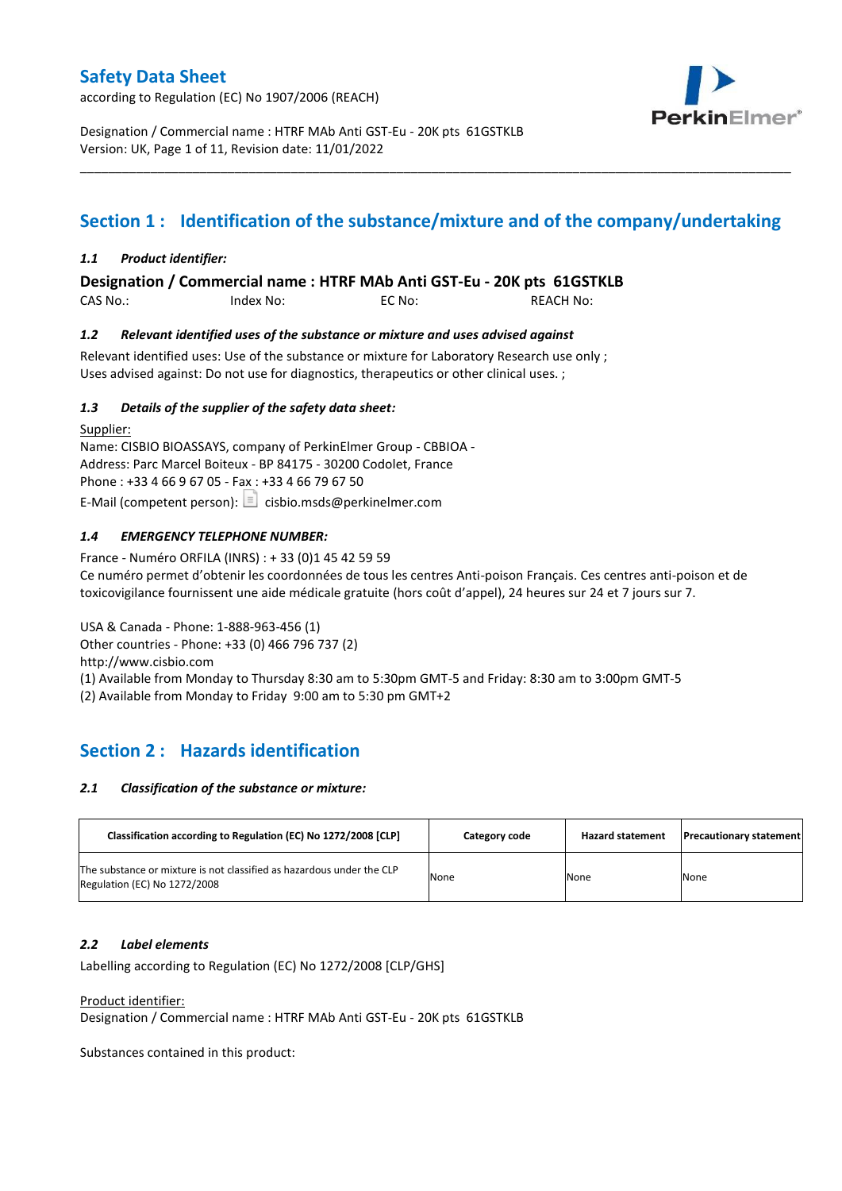according to Regulation (EC) No 1907/2006 (REACH)



Designation / Commercial name : HTRF MAb Anti GST-Eu - 20K pts 61GSTKLB Version: UK, Page 1 of 11, Revision date: 11/01/2022

# **Section 1 : Identification of the substance/mixture and of the company/undertaking**

\_\_\_\_\_\_\_\_\_\_\_\_\_\_\_\_\_\_\_\_\_\_\_\_\_\_\_\_\_\_\_\_\_\_\_\_\_\_\_\_\_\_\_\_\_\_\_\_\_\_\_\_\_\_\_\_\_\_\_\_\_\_\_\_\_\_\_\_\_\_\_\_\_\_\_\_\_\_\_\_\_\_\_\_\_\_\_\_\_\_\_\_\_\_\_\_\_\_\_\_\_

### *1.1 Product identifier:*

**Designation / Commercial name : HTRF MAb Anti GST-Eu - 20K pts 61GSTKLB** 

CAS No.: Index No: EC No: REACH No:

### *1.2 Relevant identified uses of the substance or mixture and uses advised against*

Relevant identified uses: Use of the substance or mixture for Laboratory Research use only ; Uses advised against: Do not use for diagnostics, therapeutics or other clinical uses. ;

### *1.3 Details of the supplier of the safety data sheet:*

Supplier: Name: CISBIO BIOASSAYS, company of PerkinElmer Group - CBBIOA - Address: Parc Marcel Boiteux - BP 84175 - 30200 Codolet, France Phone : +33 4 66 9 67 05 - Fax : +33 4 66 79 67 50 E-Mail (competent person):  $\boxed{\equiv}$  cisbio.msds@perkinelmer.com

### *1.4 EMERGENCY TELEPHONE NUMBER:*

France - Numéro ORFILA (INRS) : + 33 (0)1 45 42 59 59 Ce numéro permet d'obtenir les coordonnées de tous les centres Anti-poison Français. Ces centres anti-poison et de toxicovigilance fournissent une aide médicale gratuite (hors coût d'appel), 24 heures sur 24 et 7 jours sur 7.

USA & Canada - Phone: 1-888-963-456 (1) Other countries - Phone: +33 (0) 466 796 737 (2)

http://www.cisbio.com

(1) Available from Monday to Thursday 8:30 am to 5:30pm GMT-5 and Friday: 8:30 am to 3:00pm GMT-5

(2) Available from Monday to Friday 9:00 am to 5:30 pm GMT+2

# **Section 2 : Hazards identification**

#### *2.1 Classification of the substance or mixture:*

| Classification according to Regulation (EC) No 1272/2008 [CLP]                                        | Category code | <b>Hazard statement</b> | <b>Precautionary statement</b> |
|-------------------------------------------------------------------------------------------------------|---------------|-------------------------|--------------------------------|
| The substance or mixture is not classified as hazardous under the CLP<br>Regulation (EC) No 1272/2008 | None          | None                    | None                           |

#### *2.2 Label elements*

Labelling according to Regulation (EC) No 1272/2008 [CLP/GHS]

Product identifier:

Designation / Commercial name : HTRF MAb Anti GST-Eu - 20K pts 61GSTKLB

Substances contained in this product: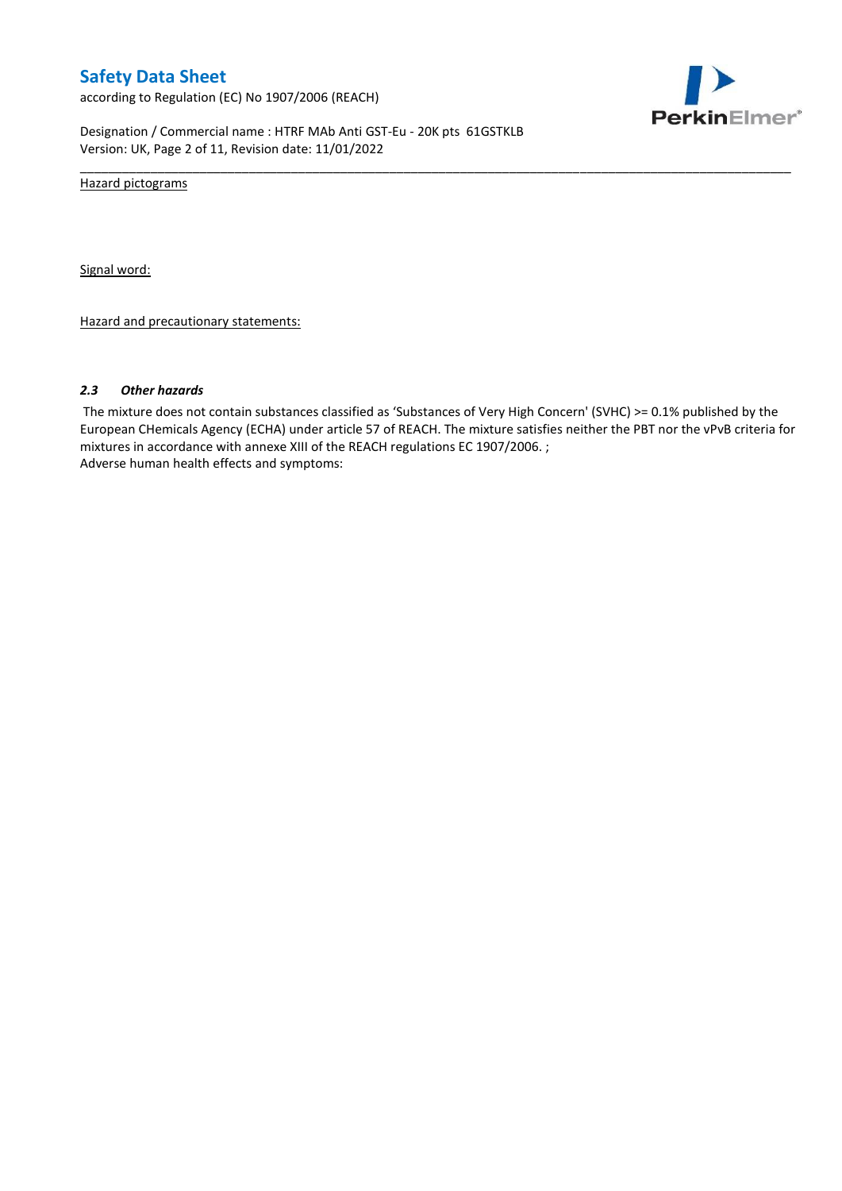according to Regulation (EC) No 1907/2006 (REACH)



Designation / Commercial name : HTRF MAb Anti GST-Eu - 20K pts 61GSTKLB Version: UK, Page 2 of 11, Revision date: 11/01/2022

Hazard pictograms

Signal word:

Hazard and precautionary statements:

#### *2.3 Other hazards*

The mixture does not contain substances classified as 'Substances of Very High Concern' (SVHC) >= 0.1% published by the European CHemicals Agency (ECHA) under article 57 of REACH. The mixture satisfies neither the PBT nor the vPvB criteria for mixtures in accordance with annexe XIII of the REACH regulations EC 1907/2006. ; Adverse human health effects and symptoms:

\_\_\_\_\_\_\_\_\_\_\_\_\_\_\_\_\_\_\_\_\_\_\_\_\_\_\_\_\_\_\_\_\_\_\_\_\_\_\_\_\_\_\_\_\_\_\_\_\_\_\_\_\_\_\_\_\_\_\_\_\_\_\_\_\_\_\_\_\_\_\_\_\_\_\_\_\_\_\_\_\_\_\_\_\_\_\_\_\_\_\_\_\_\_\_\_\_\_\_\_\_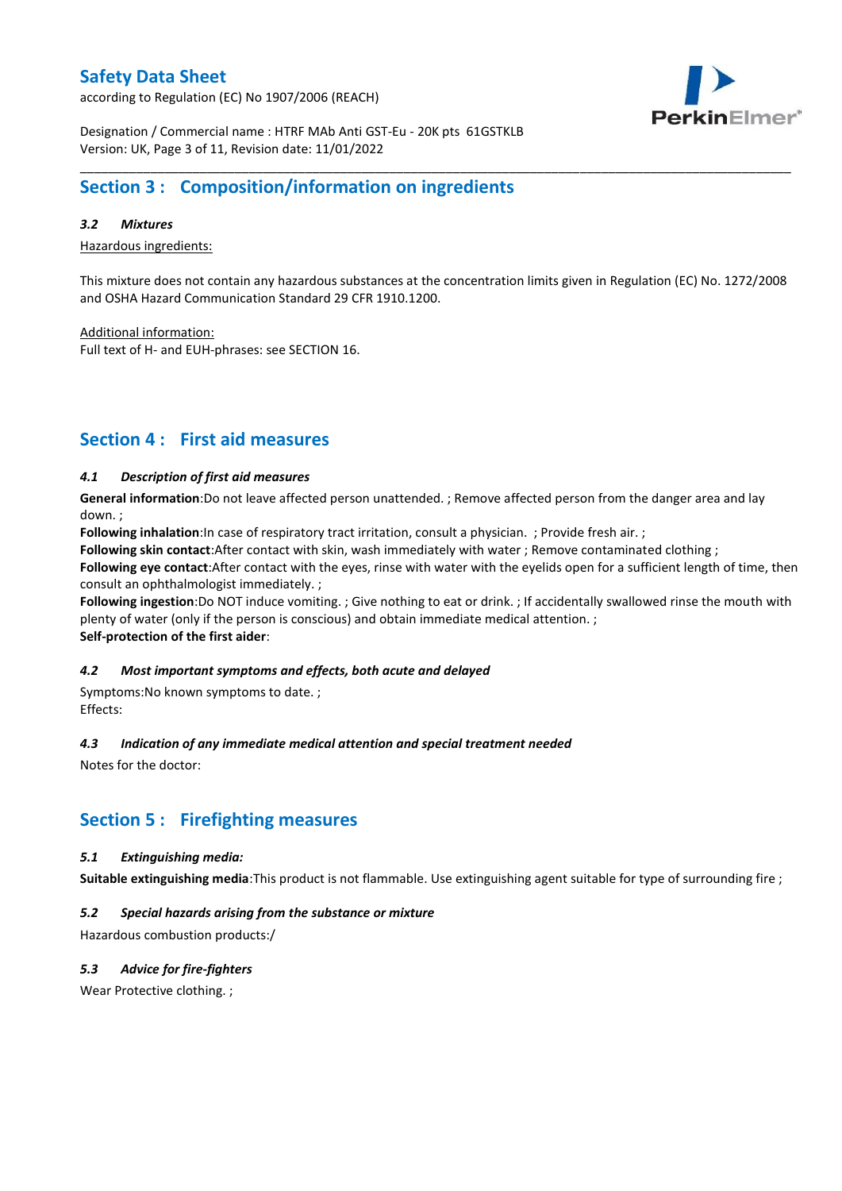according to Regulation (EC) No 1907/2006 (REACH)



Designation / Commercial name : HTRF MAb Anti GST-Eu - 20K pts 61GSTKLB Version: UK, Page 3 of 11, Revision date: 11/01/2022

# **Section 3 : Composition/information on ingredients**

### *3.2 Mixtures*

Hazardous ingredients:

This mixture does not contain any hazardous substances at the concentration limits given in Regulation (EC) No. 1272/2008 and OSHA Hazard Communication Standard 29 CFR 1910.1200.

\_\_\_\_\_\_\_\_\_\_\_\_\_\_\_\_\_\_\_\_\_\_\_\_\_\_\_\_\_\_\_\_\_\_\_\_\_\_\_\_\_\_\_\_\_\_\_\_\_\_\_\_\_\_\_\_\_\_\_\_\_\_\_\_\_\_\_\_\_\_\_\_\_\_\_\_\_\_\_\_\_\_\_\_\_\_\_\_\_\_\_\_\_\_\_\_\_\_\_\_\_

Additional information:

Full text of H- and EUH-phrases: see SECTION 16.

# **Section 4 : First aid measures**

### *4.1 Description of first aid measures*

**General information**:Do not leave affected person unattended. ; Remove affected person from the danger area and lay down. ;

**Following inhalation**:In case of respiratory tract irritation, consult a physician. ; Provide fresh air. ;

**Following skin contact**:After contact with skin, wash immediately with water ; Remove contaminated clothing ;

**Following eye contact**:After contact with the eyes, rinse with water with the eyelids open for a sufficient length of time, then consult an ophthalmologist immediately. ;

**Following ingestion**:Do NOT induce vomiting. ; Give nothing to eat or drink. ; If accidentally swallowed rinse the mouth with plenty of water (only if the person is conscious) and obtain immediate medical attention. ; **Self-protection of the first aider**:

#### *4.2 Most important symptoms and effects, both acute and delayed*

Symptoms:No known symptoms to date. ; Effects:

#### *4.3 Indication of any immediate medical attention and special treatment needed*

Notes for the doctor:

# **Section 5 : Firefighting measures**

#### *5.1 Extinguishing media:*

**Suitable extinguishing media**:This product is not flammable. Use extinguishing agent suitable for type of surrounding fire ;

### *5.2 Special hazards arising from the substance or mixture*

Hazardous combustion products:/

### *5.3 Advice for fire-fighters*

Wear Protective clothing.;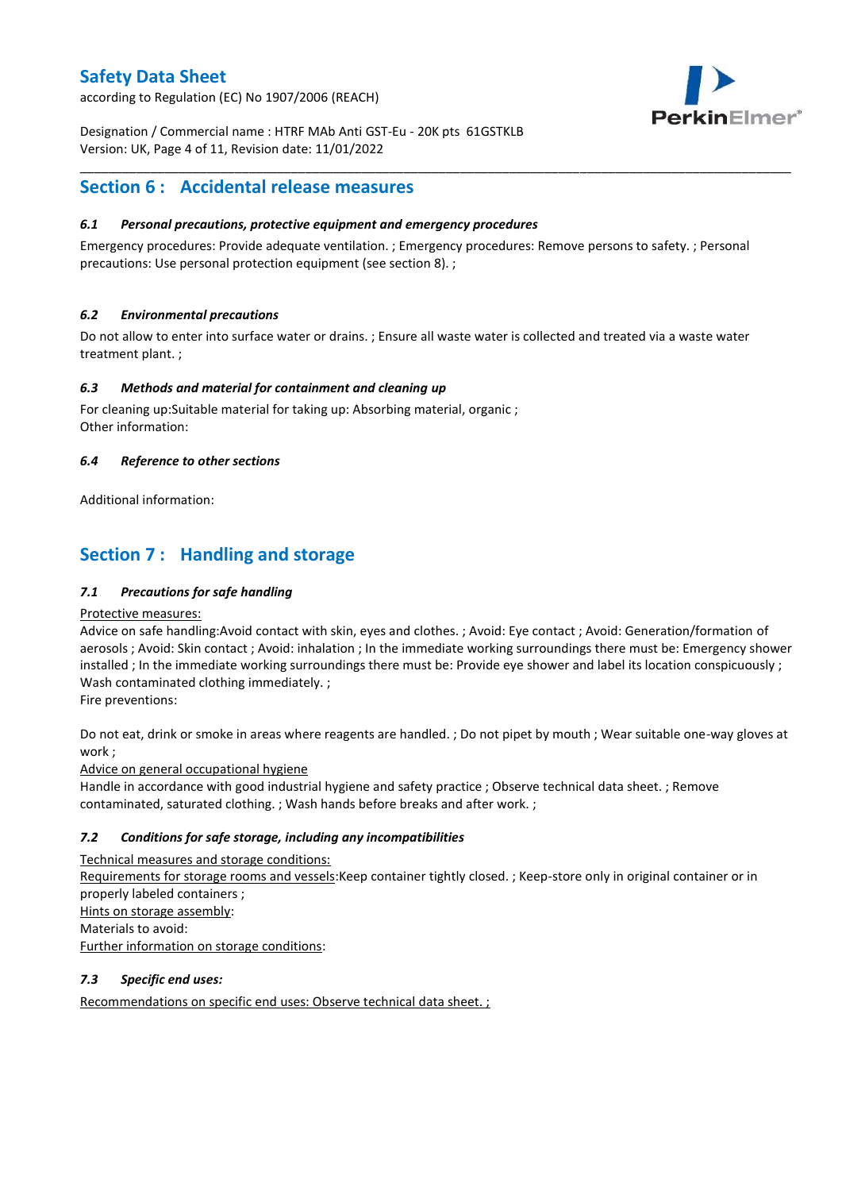according to Regulation (EC) No 1907/2006 (REACH)



Designation / Commercial name : HTRF MAb Anti GST-Eu - 20K pts 61GSTKLB Version: UK, Page 4 of 11, Revision date: 11/01/2022

# **Section 6 : Accidental release measures**

### *6.1 Personal precautions, protective equipment and emergency procedures*

Emergency procedures: Provide adequate ventilation. ; Emergency procedures: Remove persons to safety. ; Personal precautions: Use personal protection equipment (see section 8). ;

\_\_\_\_\_\_\_\_\_\_\_\_\_\_\_\_\_\_\_\_\_\_\_\_\_\_\_\_\_\_\_\_\_\_\_\_\_\_\_\_\_\_\_\_\_\_\_\_\_\_\_\_\_\_\_\_\_\_\_\_\_\_\_\_\_\_\_\_\_\_\_\_\_\_\_\_\_\_\_\_\_\_\_\_\_\_\_\_\_\_\_\_\_\_\_\_\_\_\_\_\_

### *6.2 Environmental precautions*

Do not allow to enter into surface water or drains. ; Ensure all waste water is collected and treated via a waste water treatment plant. ;

### *6.3 Methods and material for containment and cleaning up*

For cleaning up:Suitable material for taking up: Absorbing material, organic ; Other information:

### *6.4 Reference to other sections*

Additional information:

# **Section 7 : Handling and storage**

### *7.1 Precautions for safe handling*

#### Protective measures:

Advice on safe handling:Avoid contact with skin, eyes and clothes. ; Avoid: Eye contact ; Avoid: Generation/formation of aerosols ; Avoid: Skin contact ; Avoid: inhalation ; In the immediate working surroundings there must be: Emergency shower installed ; In the immediate working surroundings there must be: Provide eye shower and label its location conspicuously ; Wash contaminated clothing immediately. ;

Fire preventions:

Do not eat, drink or smoke in areas where reagents are handled. ; Do not pipet by mouth ; Wear suitable one-way gloves at work ;

Advice on general occupational hygiene

Handle in accordance with good industrial hygiene and safety practice ; Observe technical data sheet. ; Remove contaminated, saturated clothing. ; Wash hands before breaks and after work. ;

### *7.2 Conditions for safe storage, including any incompatibilities*

Technical measures and storage conditions: Requirements for storage rooms and vessels:Keep container tightly closed. ; Keep-store only in original container or in properly labeled containers ; Hints on storage assembly: Materials to avoid: Further information on storage conditions:

### *7.3 Specific end uses:*

Recommendations on specific end uses: Observe technical data sheet. ;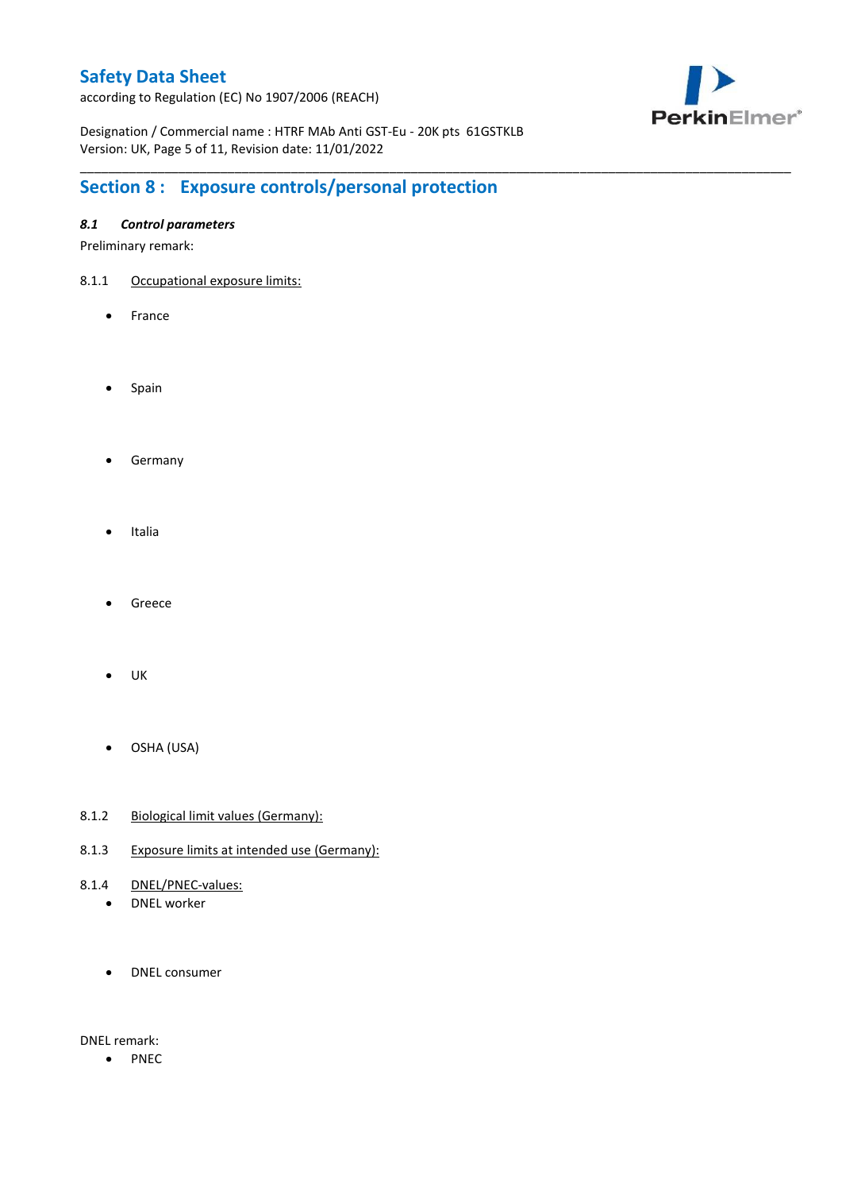according to Regulation (EC) No 1907/2006 (REACH)



Designation / Commercial name : HTRF MAb Anti GST-Eu - 20K pts 61GSTKLB Version: UK, Page 5 of 11, Revision date: 11/01/2022

\_\_\_\_\_\_\_\_\_\_\_\_\_\_\_\_\_\_\_\_\_\_\_\_\_\_\_\_\_\_\_\_\_\_\_\_\_\_\_\_\_\_\_\_\_\_\_\_\_\_\_\_\_\_\_\_\_\_\_\_\_\_\_\_\_\_\_\_\_\_\_\_\_\_\_\_\_\_\_\_\_\_\_\_\_\_\_\_\_\_\_\_\_\_\_\_\_\_\_\_\_

# **Section 8 : Exposure controls/personal protection**

### *8.1 Control parameters*

Preliminary remark:

- 8.1.1 Occupational exposure limits:
	- France
	- Spain
	- **•** Germany
	- Italia
	- Greece
	- $\bullet$  UK
	- OSHA (USA)
- 8.1.2 Biological limit values (Germany):
- 8.1.3 Exposure limits at intended use (Germany):
- 8.1.4 DNEL/PNEC-values:
	- DNEL worker
	- DNEL consumer

DNEL remark:

• PNEC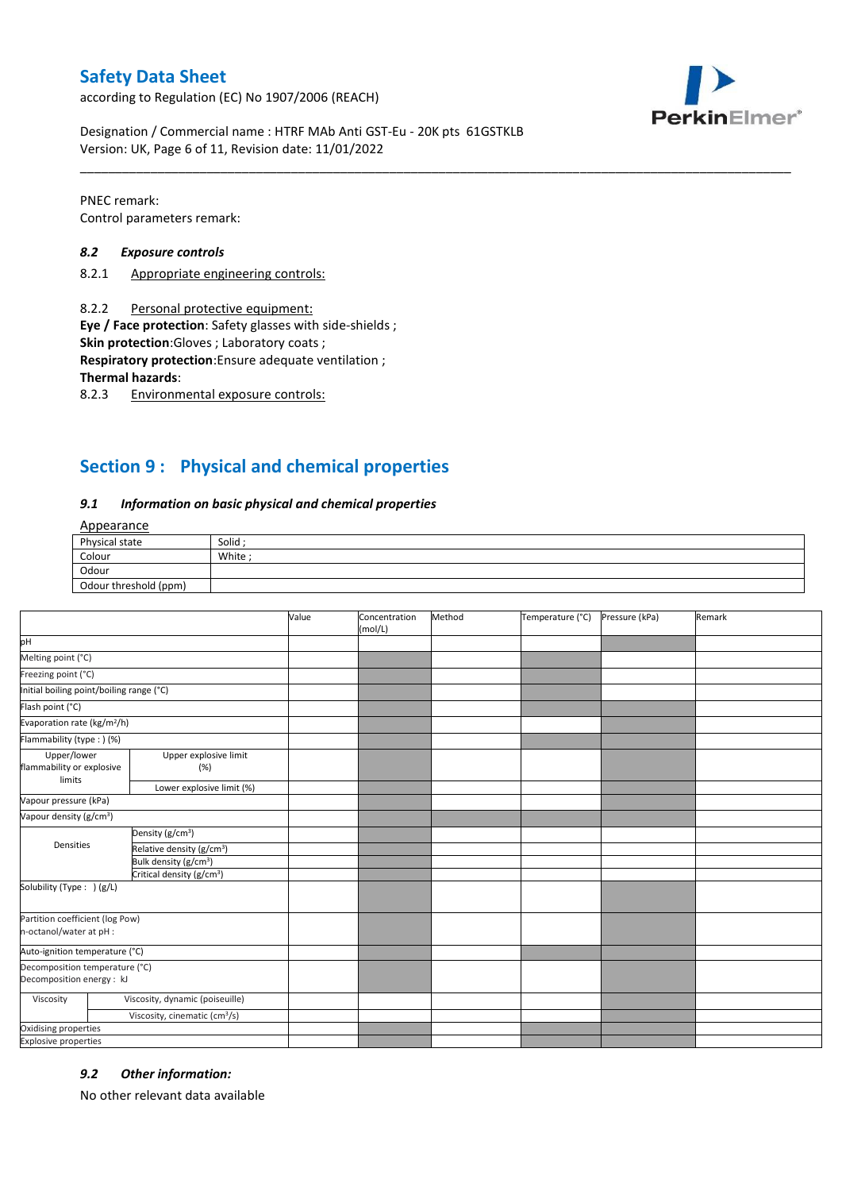according to Regulation (EC) No 1907/2006 (REACH)



Designation / Commercial name : HTRF MAb Anti GST-Eu - 20K pts 61GSTKLB Version: UK, Page 6 of 11, Revision date: 11/01/2022

PNEC remark: Control parameters remark:

#### *8.2 Exposure controls*

- 8.2.1 Appropriate engineering controls:
- 8.2.2 Personal protective equipment:

**Eye / Face protection**: Safety glasses with side-shields ;

**Skin protection**:Gloves ; Laboratory coats ;

**Respiratory protection**:Ensure adequate ventilation ;

**Thermal hazards**:

8.2.3 Environmental exposure controls:

# **Section 9 : Physical and chemical properties**

#### *9.1 Information on basic physical and chemical properties*

### Appearance

| Physical state        | Solid  |
|-----------------------|--------|
| Colour                | White; |
| Odour                 |        |
| Odour threshold (ppm) |        |

\_\_\_\_\_\_\_\_\_\_\_\_\_\_\_\_\_\_\_\_\_\_\_\_\_\_\_\_\_\_\_\_\_\_\_\_\_\_\_\_\_\_\_\_\_\_\_\_\_\_\_\_\_\_\_\_\_\_\_\_\_\_\_\_\_\_\_\_\_\_\_\_\_\_\_\_\_\_\_\_\_\_\_\_\_\_\_\_\_\_\_\_\_\_\_\_\_\_\_\_\_

|                                                             |                                           | Value | Concentration<br>(mol/L) | Method | Temperature (°C) | Pressure (kPa) | Remark |
|-------------------------------------------------------------|-------------------------------------------|-------|--------------------------|--------|------------------|----------------|--------|
| pH                                                          |                                           |       |                          |        |                  |                |        |
| Melting point (°C)                                          |                                           |       |                          |        |                  |                |        |
| Freezing point (°C)                                         |                                           |       |                          |        |                  |                |        |
| Initial boiling point/boiling range (°C)                    |                                           |       |                          |        |                  |                |        |
| Flash point (°C)                                            |                                           |       |                          |        |                  |                |        |
| Evaporation rate (kg/m <sup>2</sup> /h)                     |                                           |       |                          |        |                  |                |        |
| Flammability (type : ) (%)                                  |                                           |       |                          |        |                  |                |        |
| Upper/lower<br>flammability or explosive<br>limits          | Upper explosive limit<br>(%)              |       |                          |        |                  |                |        |
|                                                             | Lower explosive limit (%)                 |       |                          |        |                  |                |        |
| Vapour pressure (kPa)                                       |                                           |       |                          |        |                  |                |        |
| Vapour density (g/cm <sup>3</sup> )                         |                                           |       |                          |        |                  |                |        |
|                                                             | Density (g/cm <sup>3</sup> )              |       |                          |        |                  |                |        |
| Densities                                                   | Relative density (g/cm <sup>3</sup> )     |       |                          |        |                  |                |        |
|                                                             | Bulk density (g/cm <sup>3</sup> )         |       |                          |        |                  |                |        |
|                                                             | Critical density (g/cm <sup>3</sup> )     |       |                          |        |                  |                |        |
| Solubility (Type: ) (g/L)                                   |                                           |       |                          |        |                  |                |        |
| Partition coefficient (log Pow)<br>n-octanol/water at pH :  |                                           |       |                          |        |                  |                |        |
| Auto-ignition temperature (°C)                              |                                           |       |                          |        |                  |                |        |
| Decomposition temperature (°C)<br>Decomposition energy : kJ |                                           |       |                          |        |                  |                |        |
| Viscosity                                                   | Viscosity, dynamic (poiseuille)           |       |                          |        |                  |                |        |
|                                                             | Viscosity, cinematic (cm <sup>3</sup> /s) |       |                          |        |                  |                |        |
| Oxidising properties                                        |                                           |       |                          |        |                  |                |        |
| <b>Explosive properties</b>                                 |                                           |       |                          |        |                  |                |        |

#### *9.2 Other information:*

No other relevant data available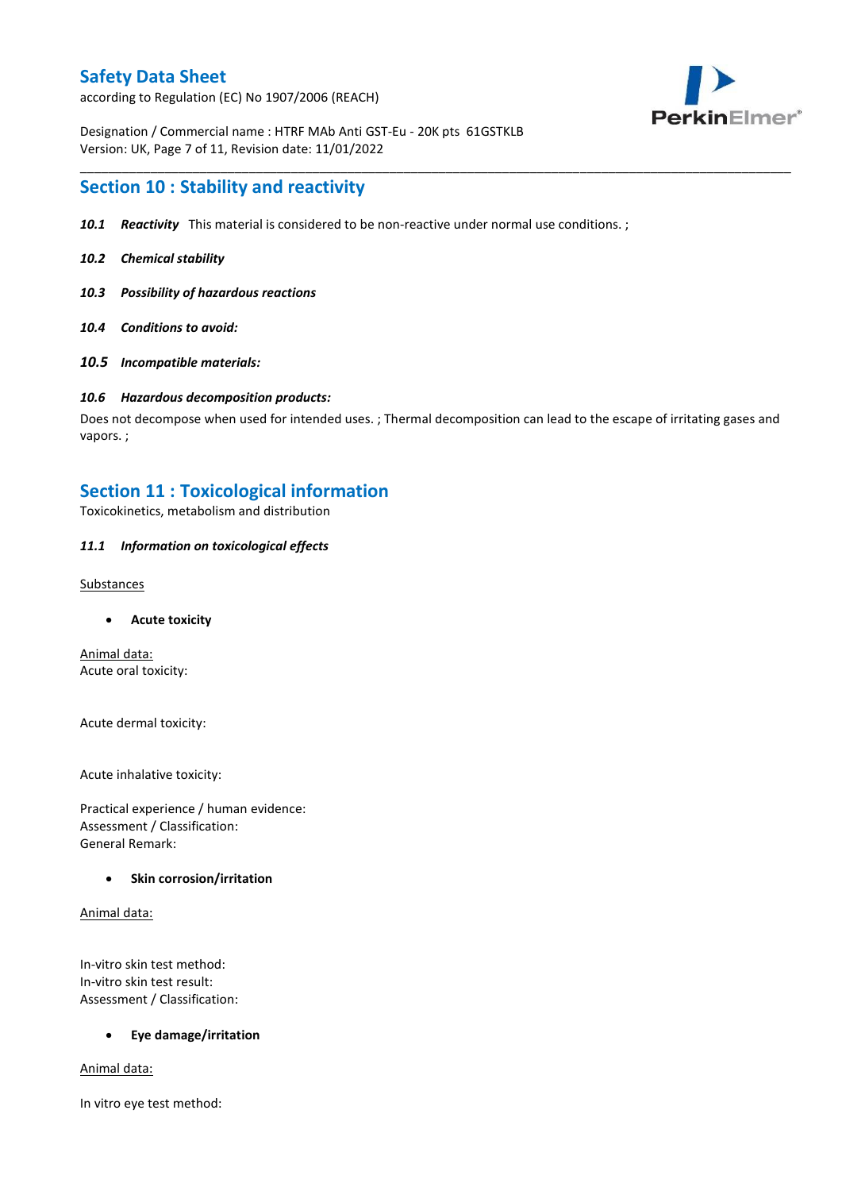according to Regulation (EC) No 1907/2006 (REACH)



Designation / Commercial name : HTRF MAb Anti GST-Eu - 20K pts 61GSTKLB Version: UK, Page 7 of 11, Revision date: 11/01/2022

### **Section 10 : Stability and reactivity**

- *10.1 Reactivity* This material is considered to be non-reactive under normal use conditions. ;
- *10.2 Chemical stability*
- *10.3 Possibility of hazardous reactions*
- *10.4 Conditions to avoid:*
- *10.5 Incompatible materials:*

#### *10.6 Hazardous decomposition products:*

Does not decompose when used for intended uses. ; Thermal decomposition can lead to the escape of irritating gases and vapors. ;

\_\_\_\_\_\_\_\_\_\_\_\_\_\_\_\_\_\_\_\_\_\_\_\_\_\_\_\_\_\_\_\_\_\_\_\_\_\_\_\_\_\_\_\_\_\_\_\_\_\_\_\_\_\_\_\_\_\_\_\_\_\_\_\_\_\_\_\_\_\_\_\_\_\_\_\_\_\_\_\_\_\_\_\_\_\_\_\_\_\_\_\_\_\_\_\_\_\_\_\_\_

### **Section 11 : Toxicological information**

Toxicokinetics, metabolism and distribution

#### *11.1 Information on toxicological effects*

#### **Substances**

**Acute toxicity**

Animal data: Acute oral toxicity:

Acute dermal toxicity:

Acute inhalative toxicity:

Practical experience / human evidence: Assessment / Classification: General Remark:

#### **Skin corrosion/irritation**

Animal data:

In-vitro skin test method: In-vitro skin test result: Assessment / Classification:

#### **Eye damage/irritation**

Animal data:

In vitro eye test method: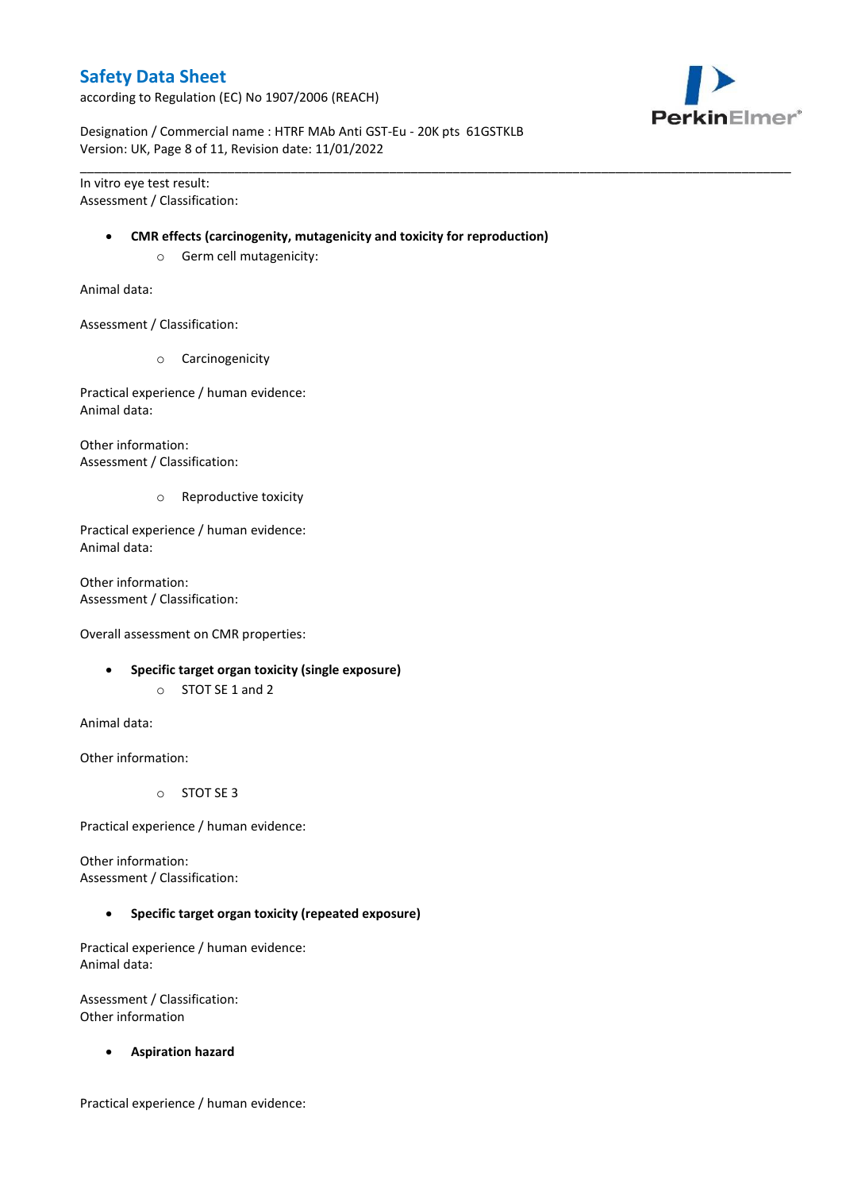according to Regulation (EC) No 1907/2006 (REACH)



Designation / Commercial name : HTRF MAb Anti GST-Eu - 20K pts 61GSTKLB Version: UK, Page 8 of 11, Revision date: 11/01/2022

In vitro eye test result: Assessment / Classification:

#### **CMR effects (carcinogenity, mutagenicity and toxicity for reproduction)**

\_\_\_\_\_\_\_\_\_\_\_\_\_\_\_\_\_\_\_\_\_\_\_\_\_\_\_\_\_\_\_\_\_\_\_\_\_\_\_\_\_\_\_\_\_\_\_\_\_\_\_\_\_\_\_\_\_\_\_\_\_\_\_\_\_\_\_\_\_\_\_\_\_\_\_\_\_\_\_\_\_\_\_\_\_\_\_\_\_\_\_\_\_\_\_\_\_\_\_\_\_

o Germ cell mutagenicity:

Animal data:

Assessment / Classification:

o Carcinogenicity

Practical experience / human evidence: Animal data:

Other information: Assessment / Classification:

o Reproductive toxicity

Practical experience / human evidence: Animal data:

Other information: Assessment / Classification:

Overall assessment on CMR properties:

- **Specific target organ toxicity (single exposure)**
	- o STOT SE 1 and 2

Animal data:

Other information:

o STOT SE 3

Practical experience / human evidence:

Other information: Assessment / Classification:

**Specific target organ toxicity (repeated exposure)**

Practical experience / human evidence: Animal data:

Assessment / Classification: Other information

**Aspiration hazard**

Practical experience / human evidence: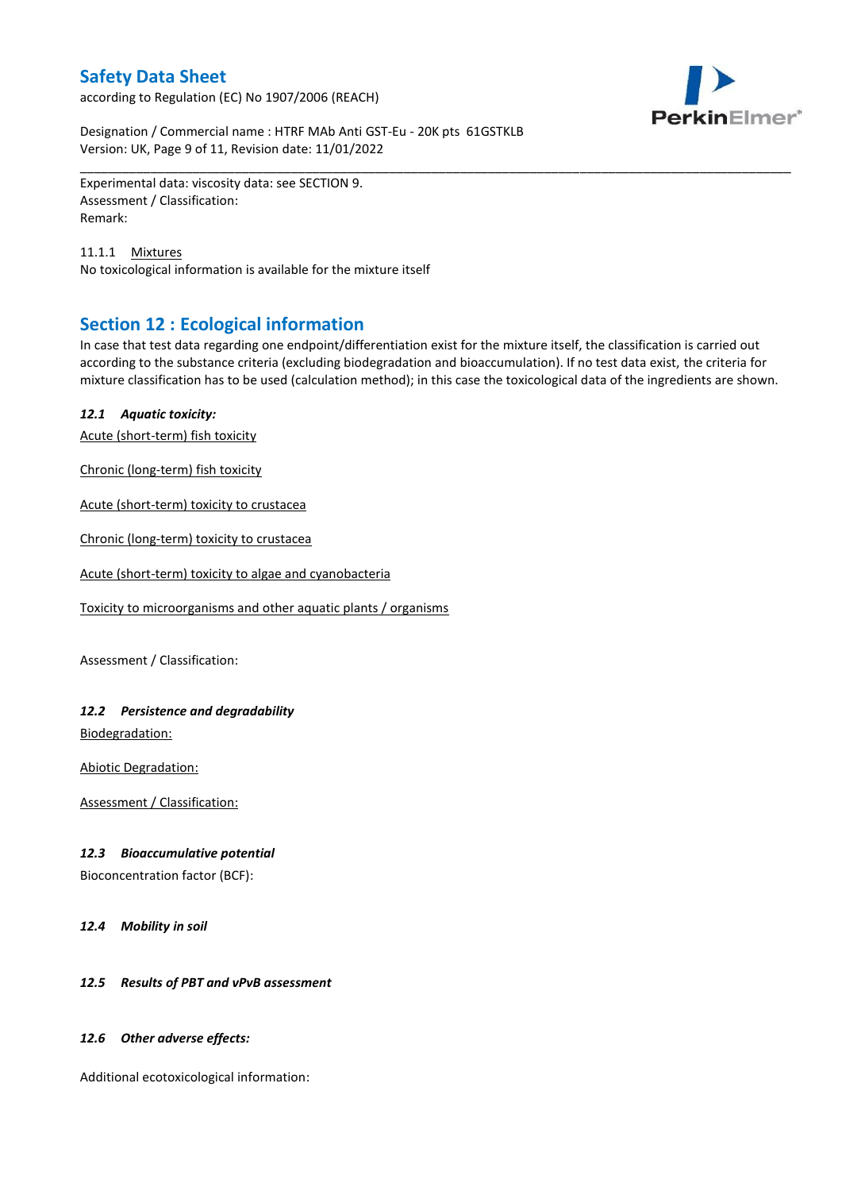according to Regulation (EC) No 1907/2006 (REACH)



Designation / Commercial name : HTRF MAb Anti GST-Eu - 20K pts 61GSTKLB Version: UK, Page 9 of 11, Revision date: 11/01/2022

Experimental data: viscosity data: see SECTION 9. Assessment / Classification: Remark:

11.1.1 Mixtures No toxicological information is available for the mixture itself

# **Section 12 : Ecological information**

In case that test data regarding one endpoint/differentiation exist for the mixture itself, the classification is carried out according to the substance criteria (excluding biodegradation and bioaccumulation). If no test data exist, the criteria for mixture classification has to be used (calculation method); in this case the toxicological data of the ingredients are shown.

\_\_\_\_\_\_\_\_\_\_\_\_\_\_\_\_\_\_\_\_\_\_\_\_\_\_\_\_\_\_\_\_\_\_\_\_\_\_\_\_\_\_\_\_\_\_\_\_\_\_\_\_\_\_\_\_\_\_\_\_\_\_\_\_\_\_\_\_\_\_\_\_\_\_\_\_\_\_\_\_\_\_\_\_\_\_\_\_\_\_\_\_\_\_\_\_\_\_\_\_\_

### *12.1 Aquatic toxicity:*

Acute (short-term) fish toxicity

Chronic (long-term) fish toxicity

Acute (short-term) toxicity to crustacea

Chronic (long-term) toxicity to crustacea

Acute (short-term) toxicity to algae and cyanobacteria

Toxicity to microorganisms and other aquatic plants / organisms

Assessment / Classification:

### *12.2 Persistence and degradability*

Biodegradation:

Abiotic Degradation:

Assessment / Classification:

#### *12.3 Bioaccumulative potential*

Bioconcentration factor (BCF):

*12.4 Mobility in soil*

### *12.5 Results of PBT and vPvB assessment*

#### *12.6 Other adverse effects:*

Additional ecotoxicological information: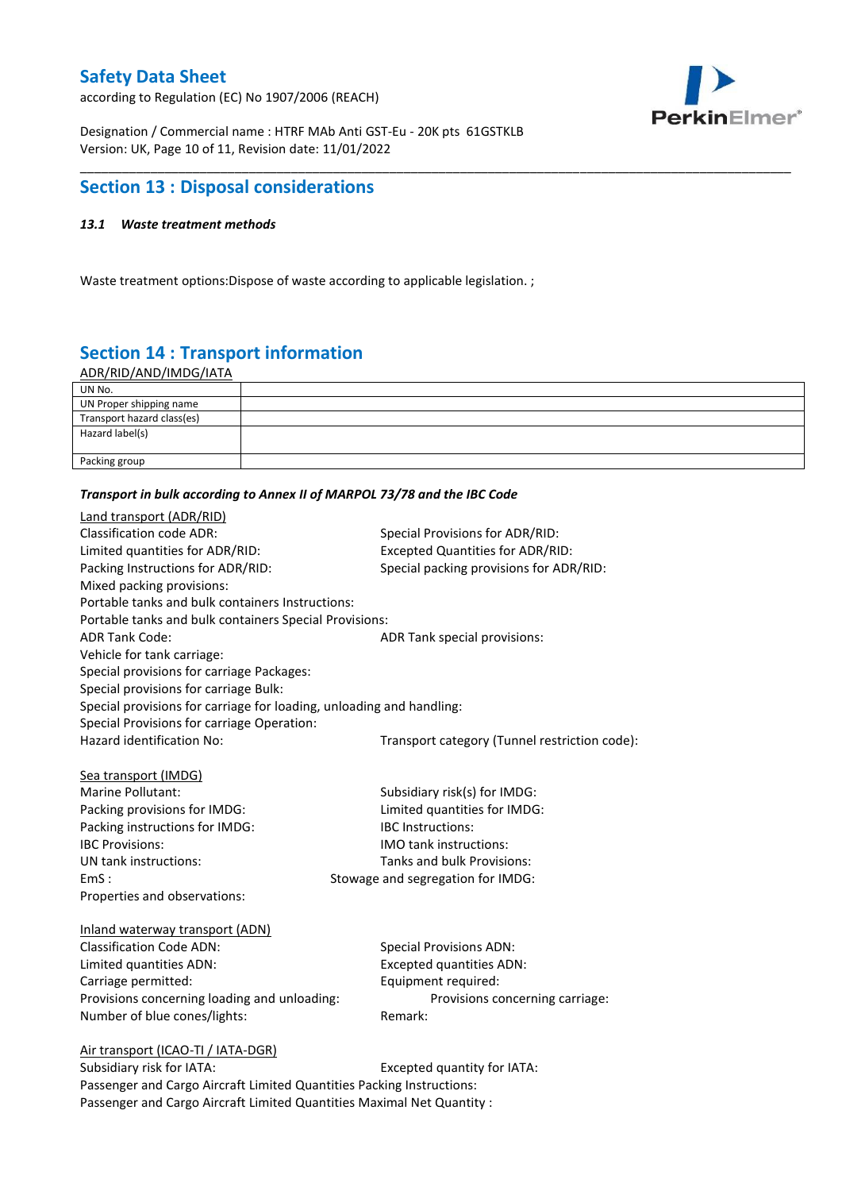according to Regulation (EC) No 1907/2006 (REACH)



Designation / Commercial name : HTRF MAb Anti GST-Eu - 20K pts 61GSTKLB Version: UK, Page 10 of 11, Revision date: 11/01/2022

# **Section 13 : Disposal considerations**

### *13.1 Waste treatment methods*

Waste treatment options:Dispose of waste according to applicable legislation. ;

# **Section 14 : Transport information**

ADR/RID/AND/IMDG/IATA

| UN No.                     |  |
|----------------------------|--|
| UN Proper shipping name    |  |
| Transport hazard class(es) |  |
| Hazard label(s)            |  |
|                            |  |
| Packing group              |  |

\_\_\_\_\_\_\_\_\_\_\_\_\_\_\_\_\_\_\_\_\_\_\_\_\_\_\_\_\_\_\_\_\_\_\_\_\_\_\_\_\_\_\_\_\_\_\_\_\_\_\_\_\_\_\_\_\_\_\_\_\_\_\_\_\_\_\_\_\_\_\_\_\_\_\_\_\_\_\_\_\_\_\_\_\_\_\_\_\_\_\_\_\_\_\_\_\_\_\_\_\_

#### *Transport in bulk according to Annex II of MARPOL 73/78 and the IBC Code*

| Land transport (ADR/RID)                                             |                                               |
|----------------------------------------------------------------------|-----------------------------------------------|
| <b>Classification code ADR:</b>                                      | Special Provisions for ADR/RID:               |
| Limited quantities for ADR/RID:                                      | Excepted Quantities for ADR/RID:              |
| Packing Instructions for ADR/RID:                                    | Special packing provisions for ADR/RID:       |
| Mixed packing provisions:                                            |                                               |
| Portable tanks and bulk containers Instructions:                     |                                               |
| Portable tanks and bulk containers Special Provisions:               |                                               |
| <b>ADR Tank Code:</b>                                                | ADR Tank special provisions:                  |
| Vehicle for tank carriage:                                           |                                               |
| Special provisions for carriage Packages:                            |                                               |
| Special provisions for carriage Bulk:                                |                                               |
| Special provisions for carriage for loading, unloading and handling: |                                               |
| Special Provisions for carriage Operation:                           |                                               |
| Hazard identification No:                                            | Transport category (Tunnel restriction code): |
|                                                                      |                                               |
| Sea transport (IMDG)                                                 |                                               |
| Marine Pollutant:                                                    | Subsidiary risk(s) for IMDG:                  |
| Packing provisions for IMDG:                                         | Limited quantities for IMDG:                  |
| Packing instructions for IMDG:                                       | <b>IBC</b> Instructions:                      |
| <b>IBC Provisions:</b>                                               | <b>IMO tank instructions:</b>                 |
| UN tank instructions:                                                | Tanks and bulk Provisions:                    |
| EmS:                                                                 | Stowage and segregation for IMDG:             |
| Properties and observations:                                         |                                               |
| Inland waterway transport (ADN)                                      |                                               |
| <b>Classification Code ADN:</b>                                      | <b>Special Provisions ADN:</b>                |
| Limited quantities ADN:                                              | <b>Excepted quantities ADN:</b>               |
| Carriage permitted:                                                  | Equipment required:                           |
| Provisions concerning loading and unloading:                         | Provisions concerning carriage:               |
| Number of blue cones/lights:                                         | Remark:                                       |
|                                                                      |                                               |
| Air transport (ICAO-TI / IATA-DGR)                                   |                                               |
| Subsidiary risk for IATA <sup>.</sup>                                | Excepted quantity for $IATA$ .                |

Subsidiary risk for IATA: Subsidiary risk for IATA: Passenger and Cargo Aircraft Limited Quantities Packing Instructions: Passenger and Cargo Aircraft Limited Quantities Maximal Net Quantity :